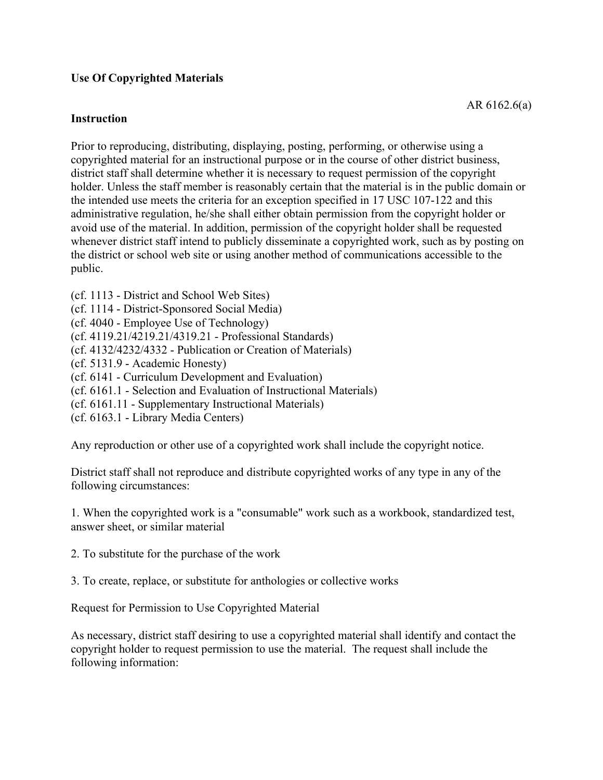#### **Use Of Copyrighted Materials**

#### **Instruction**

Prior to reproducing, distributing, displaying, posting, performing, or otherwise using a copyrighted material for an instructional purpose or in the course of other district business, district staff shall determine whether it is necessary to request permission of the copyright holder. Unless the staff member is reasonably certain that the material is in the public domain or the intended use meets the criteria for an exception specified in 17 USC 107-122 and this administrative regulation, he/she shall either obtain permission from the copyright holder or avoid use of the material. In addition, permission of the copyright holder shall be requested whenever district staff intend to publicly disseminate a copyrighted work, such as by posting on the district or school web site or using another method of communications accessible to the public.

- (cf. 1113 District and School Web Sites)
- (cf. 1114 District-Sponsored Social Media)
- (cf. 4040 Employee Use of Technology)
- (cf. 4119.21/4219.21/4319.21 Professional Standards)
- (cf. 4132/4232/4332 Publication or Creation of Materials)
- (cf. 5131.9 Academic Honesty)
- (cf. 6141 Curriculum Development and Evaluation)
- (cf. 6161.1 Selection and Evaluation of Instructional Materials)
- (cf. 6161.11 Supplementary Instructional Materials)
- (cf. 6163.1 Library Media Centers)

Any reproduction or other use of a copyrighted work shall include the copyright notice.

District staff shall not reproduce and distribute copyrighted works of any type in any of the following circumstances:

1. When the copyrighted work is a "consumable" work such as a workbook, standardized test, answer sheet, or similar material

- 2. To substitute for the purchase of the work
- 3. To create, replace, or substitute for anthologies or collective works

Request for Permission to Use Copyrighted Material

As necessary, district staff desiring to use a copyrighted material shall identify and contact the copyright holder to request permission to use the material. The request shall include the following information: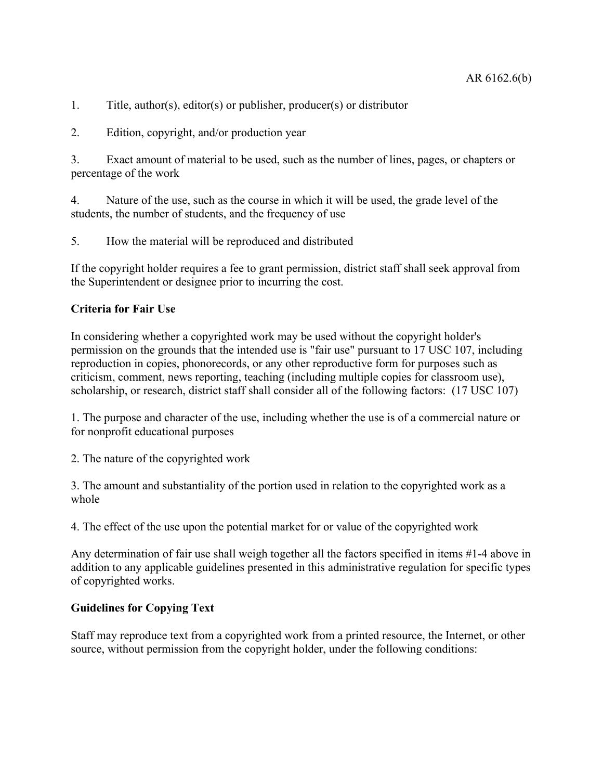- 1. Title, author(s), editor(s) or publisher, producer(s) or distributor
- 2. Edition, copyright, and/or production year

3. Exact amount of material to be used, such as the number of lines, pages, or chapters or percentage of the work

4. Nature of the use, such as the course in which it will be used, the grade level of the students, the number of students, and the frequency of use

5. How the material will be reproduced and distributed

If the copyright holder requires a fee to grant permission, district staff shall seek approval from the Superintendent or designee prior to incurring the cost.

# **Criteria for Fair Use**

In considering whether a copyrighted work may be used without the copyright holder's permission on the grounds that the intended use is "fair use" pursuant to 17 USC 107, including reproduction in copies, phonorecords, or any other reproductive form for purposes such as criticism, comment, news reporting, teaching (including multiple copies for classroom use), scholarship, or research, district staff shall consider all of the following factors: (17 USC 107)

1. The purpose and character of the use, including whether the use is of a commercial nature or for nonprofit educational purposes

2. The nature of the copyrighted work

3. The amount and substantiality of the portion used in relation to the copyrighted work as a whole

4. The effect of the use upon the potential market for or value of the copyrighted work

Any determination of fair use shall weigh together all the factors specified in items #1-4 above in addition to any applicable guidelines presented in this administrative regulation for specific types of copyrighted works.

## **Guidelines for Copying Text**

Staff may reproduce text from a copyrighted work from a printed resource, the Internet, or other source, without permission from the copyright holder, under the following conditions: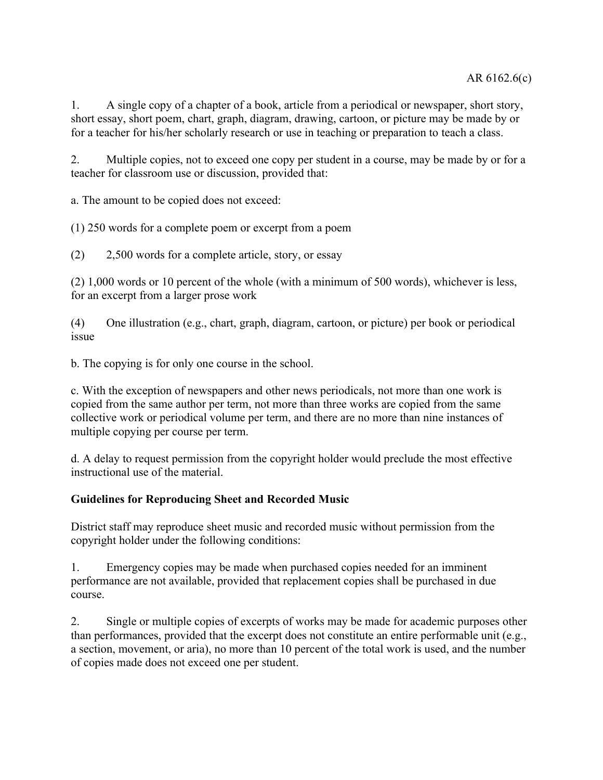1. A single copy of a chapter of a book, article from a periodical or newspaper, short story, short essay, short poem, chart, graph, diagram, drawing, cartoon, or picture may be made by or for a teacher for his/her scholarly research or use in teaching or preparation to teach a class.

2. Multiple copies, not to exceed one copy per student in a course, may be made by or for a teacher for classroom use or discussion, provided that:

a. The amount to be copied does not exceed:

(1) 250 words for a complete poem or excerpt from a poem

(2) 2,500 words for a complete article, story, or essay

(2) 1,000 words or 10 percent of the whole (with a minimum of 500 words), whichever is less, for an excerpt from a larger prose work

(4) One illustration (e.g., chart, graph, diagram, cartoon, or picture) per book or periodical issue

b. The copying is for only one course in the school.

c. With the exception of newspapers and other news periodicals, not more than one work is copied from the same author per term, not more than three works are copied from the same collective work or periodical volume per term, and there are no more than nine instances of multiple copying per course per term.

d. A delay to request permission from the copyright holder would preclude the most effective instructional use of the material.

## **Guidelines for Reproducing Sheet and Recorded Music**

District staff may reproduce sheet music and recorded music without permission from the copyright holder under the following conditions:

1. Emergency copies may be made when purchased copies needed for an imminent performance are not available, provided that replacement copies shall be purchased in due course.

2. Single or multiple copies of excerpts of works may be made for academic purposes other than performances, provided that the excerpt does not constitute an entire performable unit (e.g., a section, movement, or aria), no more than 10 percent of the total work is used, and the number of copies made does not exceed one per student.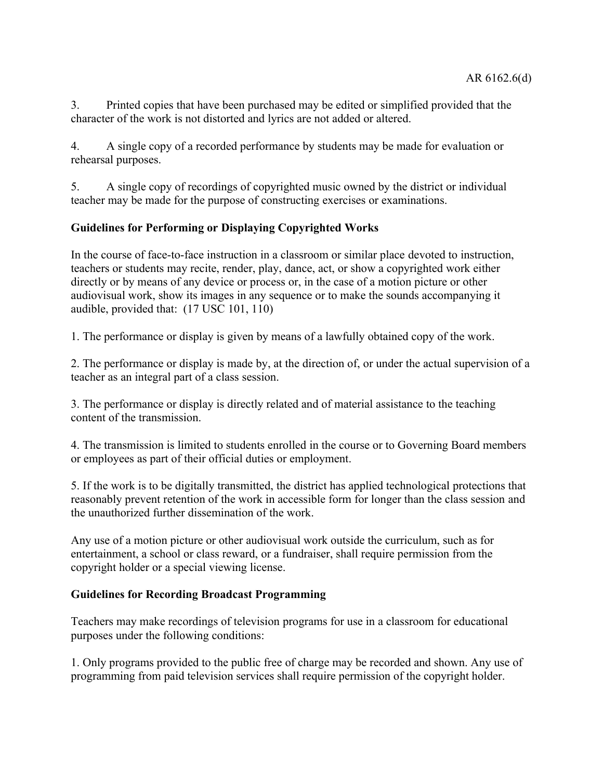3. Printed copies that have been purchased may be edited or simplified provided that the character of the work is not distorted and lyrics are not added or altered.

4. A single copy of a recorded performance by students may be made for evaluation or rehearsal purposes.

5. A single copy of recordings of copyrighted music owned by the district or individual teacher may be made for the purpose of constructing exercises or examinations.

# **Guidelines for Performing or Displaying Copyrighted Works**

In the course of face-to-face instruction in a classroom or similar place devoted to instruction, teachers or students may recite, render, play, dance, act, or show a copyrighted work either directly or by means of any device or process or, in the case of a motion picture or other audiovisual work, show its images in any sequence or to make the sounds accompanying it audible, provided that: (17 USC 101, 110)

1. The performance or display is given by means of a lawfully obtained copy of the work.

2. The performance or display is made by, at the direction of, or under the actual supervision of a teacher as an integral part of a class session.

3. The performance or display is directly related and of material assistance to the teaching content of the transmission.

4. The transmission is limited to students enrolled in the course or to Governing Board members or employees as part of their official duties or employment.

5. If the work is to be digitally transmitted, the district has applied technological protections that reasonably prevent retention of the work in accessible form for longer than the class session and the unauthorized further dissemination of the work.

Any use of a motion picture or other audiovisual work outside the curriculum, such as for entertainment, a school or class reward, or a fundraiser, shall require permission from the copyright holder or a special viewing license.

#### **Guidelines for Recording Broadcast Programming**

Teachers may make recordings of television programs for use in a classroom for educational purposes under the following conditions:

1. Only programs provided to the public free of charge may be recorded and shown. Any use of programming from paid television services shall require permission of the copyright holder.